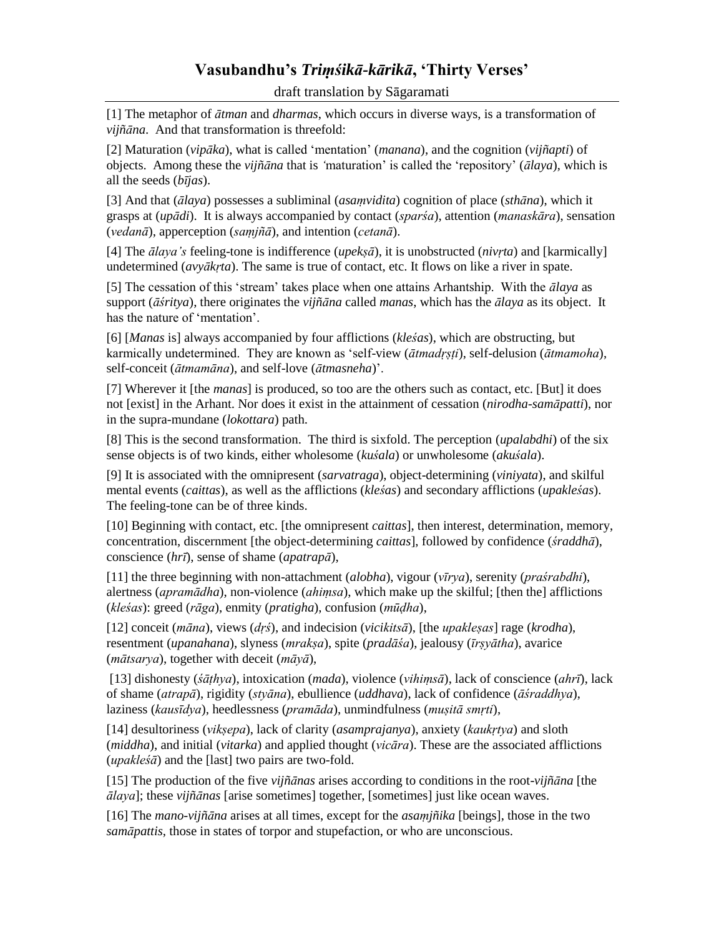## **Vasubandhu's** *Triṃśikā-kārikā***, 'Thirty Verses'**

draft translation by Sāgaramati

[1] The metaphor of *ātman* and *dharmas*, which occurs in diverse ways, is a transformation of *vijñāna*. And that transformation is threefold:

[2] Maturation (*vipāka*), what is called 'mentation' (*manana*), and the cognition (*vijñapti*) of objects. Among these the *vijñāna* that is *'*maturation' is called the 'repository' (*ālaya*), which is all the seeds (*bījas*).

[3] And that (*ālaya*) possesses a subliminal (*asaṃvidita*) cognition of place (*sthāna*), which it grasps at (*upādi*). It is always accompanied by contact (*sparśa*), attention (*manaskāra*), sensation (*vedanā*), apperception (*saṃjñā*), and intention (*cetanā*).

[4] The *ālaya's* feeling-tone is indifference (*upekṣā*), it is unobstructed (*nivṛta*) and [karmically] undetermined (*avyākṛta*). The same is true of contact, etc. It flows on like a river in spate.

[5] The cessation of this 'stream' takes place when one attains Arhantship. With the *ālaya* as support (*āśritya*), there originates the *vijñāna* called *manas*, which has the *ālaya* as its object. It has the nature of 'mentation'.

[6] [*Manas* is] always accompanied by four afflictions (*kleśas*), which are obstructing, but karmically undetermined. They are known as 'self-view (*ātmadṛṣṭi*), self-delusion (*ātmamoha*), self-conceit (*ātmamāna*), and self-love (*ātmasneha*)'.

[7] Wherever it [the *manas*] is produced, so too are the others such as contact, etc. [But] it does not [exist] in the Arhant. Nor does it exist in the attainment of cessation (*nirodha-samāpatti*), nor in the supra-mundane (*lokottara*) path.

[8] This is the second transformation. The third is sixfold. The perception (*upalabdhi*) of the six sense objects is of two kinds, either wholesome (*kuśala*) or unwholesome (*akuśala*).

[9] It is associated with the omnipresent (*sarvatraga*), object-determining (*viniyata*), and skilful mental events (*caittas*), as well as the afflictions (*kleśas*) and secondary afflictions (*upakleśas*). The feeling-tone can be of three kinds.

[10] Beginning with contact*,* etc. [the omnipresent *caittas*], then interest, determination, memory, concentration, discernment [the object-determining *caittas*], followed by confidence (*śraddhā*), conscience (*hrī*), sense of shame (*apatrapā*),

[11] the three beginning with non-attachment (*alobha*), vigour (*vīrya*), serenity (*praśrabdhi*), alertness (*apramādha*), non-violence (*ahiṃsa*), which make up the skilful; [then the] afflictions (*kleśas*): greed (*rāga*), enmity (*pratigha*), confusion (*mūḍha*),

[12] conceit (*māna*), views (*dṛś*), and indecision (*vicikitsā*), [the *upakleṣas*] rage (*krodha*), resentment (*upanahana*), slyness (*mrakṣa*), spite (*pradāśa*), jealousy (*īrṣyātha*), avarice (*mātsarya*), together with deceit (*māyā*),

[13] dishonesty (*śāṭhya*), intoxication (*mada*), violence (*vihiṃsā*), lack of conscience (*ahrī*), lack of shame (*atrapā*), rigidity (*styāna*), ebullience (*uddhava*), lack of confidence (*āśraddhya*), laziness (*kausīdya*), heedlessness (*pramāda*), unmindfulness (*muṣitā smṛti*),

[14] desultoriness (*vikṣepa*), lack of clarity (*asamprajanya*), anxiety (*kaukṛtya*) and sloth (*middha*), and initial (*vitarka*) and applied thought (*vicāra*). These are the associated afflictions (*upakleśā*) and the [last] two pairs are two-fold.

[15] The production of the five *vijñānas* arises according to conditions in the root-*vijñāna* [the *ālaya*]; these *vijñānas* [arise sometimes] together, [sometimes] just like ocean waves.

[16] The *mano-vijñāna* arises at all times, except for the *asaṃjñika* [beings], those in the two *samāpattis*, those in states of torpor and stupefaction, or who are unconscious.